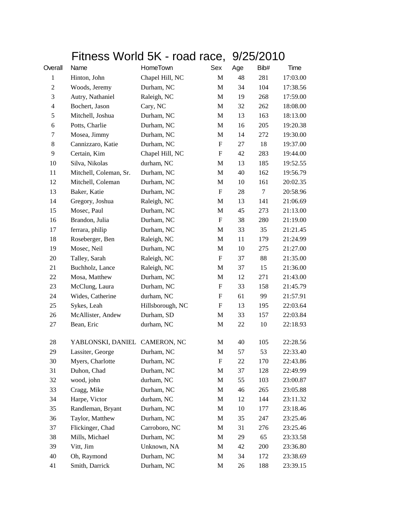## Fitness World 5K - road race, 9/25/2010

| Overall          | Name                          | HomeTown         | Sex                       | Age | Bib# | Time     |
|------------------|-------------------------------|------------------|---------------------------|-----|------|----------|
| $\mathbf{1}$     | Hinton, John                  | Chapel Hill, NC  | M                         | 48  | 281  | 17:03.00 |
| $\boldsymbol{2}$ | Woods, Jeremy                 | Durham, NC       | M                         | 34  | 104  | 17:38.56 |
| 3                | Autry, Nathaniel              | Raleigh, NC      | M                         | 19  | 268  | 17:59.00 |
| 4                | Bochert, Jason                | Cary, NC         | M                         | 32  | 262  | 18:08.00 |
| 5                | Mitchell, Joshua              | Durham, NC       | M                         | 13  | 163  | 18:13.00 |
| 6                | Potts, Charlie                | Durham, NC       | M                         | 16  | 205  | 19:20.38 |
| 7                | Mosea, Jimmy                  | Durham, NC       | M                         | 14  | 272  | 19:30.00 |
| 8                | Cannizzaro, Katie             | Durham, NC       | $\boldsymbol{\mathrm{F}}$ | 27  | 18   | 19:37.00 |
| 9                | Certain, Kim                  | Chapel Hill, NC  | $\boldsymbol{\mathrm{F}}$ | 42  | 283  | 19:44.00 |
| 10               | Silva, Nikolas                | durham, NC       | M                         | 13  | 185  | 19:52.55 |
| 11               | Mitchell, Coleman, Sr.        | Durham, NC       | M                         | 40  | 162  | 19:56.79 |
| 12               | Mitchell, Coleman             | Durham, NC       | M                         | 10  | 161  | 20:02.35 |
| 13               | Baker, Katie                  | Durham, NC       | $\boldsymbol{\mathrm{F}}$ | 28  | 7    | 20:58.96 |
| 14               | Gregory, Joshua               | Raleigh, NC      | $\mathbf M$               | 13  | 141  | 21:06.69 |
| 15               | Mosec, Paul                   | Durham, NC       | M                         | 45  | 273  | 21:13.00 |
| 16               | Brandon, Julia                | Durham, NC       | $\mathbf F$               | 38  | 280  | 21:19.00 |
| 17               | ferrara, philip               | Durham, NC       | M                         | 33  | 35   | 21:21.45 |
| 18               | Roseberger, Ben               | Raleigh, NC      | M                         | 11  | 179  | 21:24.99 |
| 19               | Mosec, Neil                   | Durham, NC       | $\mathbf M$               | 10  | 275  | 21:27.00 |
| 20               | Talley, Sarah                 | Raleigh, NC      | $\boldsymbol{\mathrm{F}}$ | 37  | 88   | 21:35.00 |
| 21               | Buchholz, Lance               | Raleigh, NC      | M                         | 37  | 15   | 21:36.00 |
| 22               | Mosa, Matthew                 | Durham, NC       | M                         | 12  | 271  | 21:43.00 |
| 23               | McClung, Laura                | Durham, NC       | F                         | 33  | 158  | 21:45.79 |
| 24               | Wides, Catherine              | durham, NC       | $\boldsymbol{\mathrm{F}}$ | 61  | 99   | 21:57.91 |
| 25               | Sykes, Leah                   | Hillsborough, NC | $\boldsymbol{\mathrm{F}}$ | 13  | 195  | 22:03.64 |
| 26               | McAllister, Andew             | Durham, SD       | M                         | 33  | 157  | 22:03.84 |
| 27               | Bean, Eric                    | durham, NC       | M                         | 22  | 10   | 22:18.93 |
| 28               | YABLONSKI, DANIEL CAMERON, NC |                  | M                         | 40  | 105  | 22:28.56 |
| 29               | Lassiter, George              | Durham, NC       | $\mathbf M$               | 57  | 53   | 22:33.40 |
| 30               | Myers, Charlotte              | Durham, NC       | F                         | 22  | 170  | 22:43.86 |
| 31               | Duhon, Chad                   | Durham, NC       | M                         | 37  | 128  | 22:49.99 |
| 32               | wood, john                    | durham, NC       | M                         | 55  | 103  | 23:00.87 |
| 33               | Cragg, Mike                   | Durham, NC       | M                         | 46  | 265  | 23:05.88 |
| 34               | Harpe, Victor                 | durham, NC       | M                         | 12  | 144  | 23:11.32 |
| 35               | Randleman, Bryant             | Durham, NC       | M                         | 10  | 177  | 23:18.46 |
| 36               | Taylor, Matthew               | Durham, NC       | $\mathbf M$               | 35  | 247  | 23:25.46 |
| 37               | Flickinger, Chad              | Carroboro, NC    | M                         | 31  | 276  | 23:25.46 |
| 38               | Mills, Michael                | Durham, NC       | M                         | 29  | 65   | 23:33.58 |
| 39               | Vitt, Jim                     | Unknown, NA      | M                         | 42  | 200  | 23:36.80 |
| 40               | Oh, Raymond                   | Durham, NC       | M                         | 34  | 172  | 23:38.69 |
| 41               | Smith, Darrick                | Durham, NC       | M                         | 26  | 188  | 23:39.15 |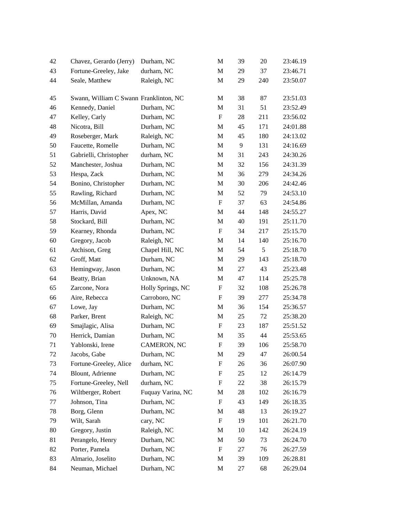| 42 | Chavez, Gerardo (Jerry)                | Durham, NC        | M                         | 39 | 20  | 23:46.19 |
|----|----------------------------------------|-------------------|---------------------------|----|-----|----------|
| 43 | Fortune-Greeley, Jake                  | durham, NC        | M                         | 29 | 37  | 23:46.71 |
| 44 | Seale, Matthew                         | Raleigh, NC       | M                         | 29 | 240 | 23:50.07 |
| 45 | Swann, William C Swann Franklinton, NC |                   | M                         | 38 | 87  | 23:51.03 |
| 46 | Kennedy, Daniel                        | Durham, NC        | M                         | 31 | 51  | 23:52.49 |
| 47 | Kelley, Carly                          | Durham, NC        | F                         | 28 | 211 | 23:56.02 |
| 48 | Nicotra, Bill                          | Durham, NC        | M                         | 45 | 171 | 24:01.88 |
| 49 | Roseberger, Mark                       | Raleigh, NC       | M                         | 45 | 180 | 24:13.02 |
| 50 | Faucette, Romelle                      | Durham, NC        | M                         | 9  | 131 | 24:16.69 |
| 51 | Gabrielli, Christopher                 | durham, NC        | M                         | 31 | 243 | 24:30.26 |
| 52 | Manchester, Joshua                     | Durham, NC        | M                         | 32 | 156 | 24:31.39 |
| 53 | Hespa, Zack                            | Durham, NC        | M                         | 36 | 279 | 24:34.26 |
| 54 | Bonino, Christopher                    | Durham, NC        | M                         | 30 | 206 | 24:42.46 |
| 55 | Rawling, Richard                       | Durham, NC        | M                         | 52 | 79  | 24:53.10 |
| 56 | McMillan, Amanda                       | Durham, NC        | $\boldsymbol{\mathrm{F}}$ | 37 | 63  | 24:54.86 |
| 57 | Harris, David                          | Apex, NC          | M                         | 44 | 148 | 24:55.27 |
| 58 | Stockard, Bill                         | Durham, NC        | M                         | 40 | 191 | 25:11.70 |
| 59 | Kearney, Rhonda                        | Durham, NC        | $\boldsymbol{\mathrm{F}}$ | 34 | 217 | 25:15.70 |
| 60 | Gregory, Jacob                         | Raleigh, NC       | M                         | 14 | 140 | 25:16.70 |
| 61 | Atchison, Greg                         | Chapel Hill, NC   | M                         | 54 | 5   | 25:18.70 |
| 62 | Groff, Matt                            | Durham, NC        | M                         | 29 | 143 | 25:18.70 |
| 63 | Hemingway, Jason                       | Durham, NC        | M                         | 27 | 43  | 25:23.48 |
| 64 | Beatty, Brian                          | Unknown, NA       | M                         | 47 | 114 | 25:25.78 |
| 65 | Zarcone, Nora                          | Holly Springs, NC | $\boldsymbol{\mathrm{F}}$ | 32 | 108 | 25:26.78 |
| 66 | Aire, Rebecca                          | Carroboro, NC     | $\boldsymbol{\mathrm{F}}$ | 39 | 277 | 25:34.78 |
| 67 | Lowe, Jay                              | Durham, NC        | M                         | 36 | 154 | 25:36.57 |
| 68 | Parker, Brent                          | Raleigh, NC       | M                         | 25 | 72  | 25:38.20 |
| 69 | Smajlagic, Alisa                       | Durham, NC        | F                         | 23 | 187 | 25:51.52 |
| 70 | Herrick, Damian                        | Durham, NC        | M                         | 35 | 44  | 25:53.65 |
| 71 | Yablonski, Irene                       | CAMERON, NC       | ${\rm F}$                 | 39 | 106 | 25:58.70 |
| 72 | Jacobs, Gabe                           | Durham, NC        | M                         | 29 | 47  | 26:00.54 |
| 73 | Fortune-Greeley, Alice                 | durham, NC        | F                         | 26 | 36  | 26:07.90 |
| 74 | Blount, Adrienne                       | Durham, NC        | F                         | 25 | 12  | 26:14.79 |
| 75 | Fortune-Greeley, Nell                  | durham, NC        | F                         | 22 | 38  | 26:15.79 |
| 76 | Wiltberger, Robert                     | Fuquay Varina, NC | М                         | 28 | 102 | 26:16.79 |
| 77 | Johnson, Tina                          | Durham, NC        | $\boldsymbol{\mathrm{F}}$ | 43 | 149 | 26:18.35 |
| 78 | Borg, Glenn                            | Durham, NC        | M                         | 48 | 13  | 26:19.27 |
| 79 | Wilt, Sarah                            | cary, NC          | F                         | 19 | 101 | 26:21.70 |
| 80 | Gregory, Justin                        | Raleigh, NC       | M                         | 10 | 142 | 26:24.19 |
| 81 | Perangelo, Henry                       | Durham, NC        | M                         | 50 | 73  | 26:24.70 |
| 82 | Porter, Pamela                         | Durham, NC        | $\boldsymbol{\mathrm{F}}$ | 27 | 76  | 26:27.59 |
| 83 | Almario, Joselito                      | Durham, NC        | M                         | 39 | 109 | 26:28.81 |
| 84 | Neuman, Michael                        | Durham, NC        | M                         | 27 | 68  | 26:29.04 |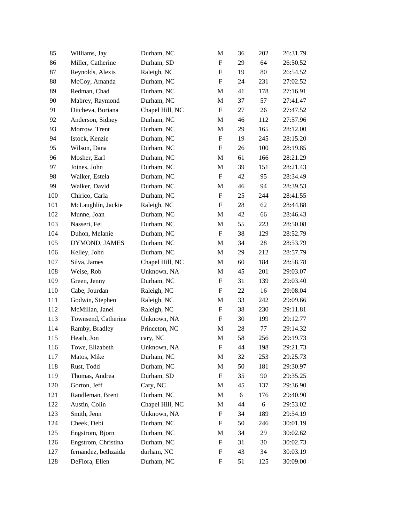| 85      | Williams, Jay        | Durham, NC      | M                         | 36 | 202 | 26:31.79 |
|---------|----------------------|-----------------|---------------------------|----|-----|----------|
| 86      | Miller, Catherine    | Durham, SD      | $\boldsymbol{\mathrm{F}}$ | 29 | 64  | 26:50.52 |
| 87      | Reynolds, Alexis     | Raleigh, NC     | $\boldsymbol{\mathrm{F}}$ | 19 | 80  | 26:54.52 |
| 88      | McCoy, Amanda        | Durham, NC      | F                         | 24 | 231 | 27:02.52 |
| 89      | Redman, Chad         | Durham, NC      | M                         | 41 | 178 | 27:16.91 |
| 90      | Mabrey, Raymond      | Durham, NC      | M                         | 37 | 57  | 27:41.47 |
| 91      | Ditcheva, Boriana    | Chapel Hill, NC | F                         | 27 | 26  | 27:47.52 |
| 92      | Anderson, Sidney     | Durham, NC      | M                         | 46 | 112 | 27:57.96 |
| 93      | Morrow, Trent        | Durham, NC      | M                         | 29 | 165 | 28:12.00 |
| 94      | Istock, Kenzie       | Durham, NC      | $\boldsymbol{\mathrm{F}}$ | 19 | 245 | 28:15.20 |
| 95      | Wilson, Dana         | Durham, NC      | ${\bf F}$                 | 26 | 100 | 28:19.85 |
| 96      | Mosher, Earl         | Durham, NC      | M                         | 61 | 166 | 28:21.29 |
| 97      | Joines, John         | Durham, NC      | M                         | 39 | 151 | 28:21.43 |
| 98      | Walker, Estela       | Durham, NC      | $\boldsymbol{\mathrm{F}}$ | 42 | 95  | 28:34.49 |
| 99      | Walker, David        | Durham, NC      | M                         | 46 | 94  | 28:39.53 |
| 100     | Chirico, Carla       | Durham, NC      | $\boldsymbol{\mathrm{F}}$ | 25 | 244 | 28:41.55 |
| 101     | McLaughlin, Jackie   | Raleigh, NC     | F                         | 28 | 62  | 28:44.88 |
| 102     | Munne, Joan          | Durham, NC      | M                         | 42 | 66  | 28:46.43 |
| 103     | Nasseri, Fei         | Durham, NC      | M                         | 55 | 223 | 28:50.08 |
| 104     | Duhon, Melanie       | Durham, NC      | F                         | 38 | 129 | 28:52.79 |
| 105     | DYMOND, JAMES        | Durham, NC      | M                         | 34 | 28  | 28:53.79 |
| 106     | Kelley, John         | Durham, NC      | M                         | 29 | 212 | 28:57.79 |
| 107     | Silva, James         | Chapel Hill, NC | M                         | 60 | 184 | 28:58.78 |
| 108     | Weise, Rob           | Unknown, NA     | M                         | 45 | 201 | 29:03.07 |
| 109     | Green, Jenny         | Durham, NC      | $\boldsymbol{\mathrm{F}}$ | 31 | 139 | 29:03.40 |
| 110     | Cabe, Jourdan        | Raleigh, NC     | ${\bf F}$                 | 22 | 16  | 29:08.04 |
| 111     | Godwin, Stephen      | Raleigh, NC     | M                         | 33 | 242 | 29:09.66 |
| $112\,$ | McMillan, Janel      | Raleigh, NC     | $\boldsymbol{\mathrm{F}}$ | 38 | 230 | 29:11.81 |
| 113     | Townsend, Catherine  | Unknown, NA     | $\boldsymbol{\mathrm{F}}$ | 30 | 199 | 29:12.77 |
| 114     | Ramby, Bradley       | Princeton, NC   | M                         | 28 | 77  | 29:14.32 |
| 115     | Heath, Jon           | cary, NC        | M                         | 58 | 256 | 29:19.73 |
| 116     | Towe, Elizabeth      | Unknown, NA     | F                         | 44 | 198 | 29:21.73 |
| 117     | Matos, Mike          | Durham, NC      | M                         | 32 | 253 | 29:25.73 |
| 118     | Rust, Todd           | Durham, NC      | M                         | 50 | 181 | 29:30.97 |
| 119     | Thomas, Andrea       | Durham, SD      | F                         | 35 | 90  | 29:35.25 |
| 120     | Gorton, Jeff         | Cary, NC        | M                         | 45 | 137 | 29:36.90 |
| 121     | Randleman, Brent     | Durham, NC      | M                         | 6  | 176 | 29:40.90 |
| 122     | Austin, Colin        | Chapel Hill, NC | M                         | 44 | 6   | 29:53.02 |
| 123     | Smith, Jenn          | Unknown, NA     | $\boldsymbol{\mathrm{F}}$ | 34 | 189 | 29:54.19 |
| 124     | Cheek, Debi          | Durham, NC      | F                         | 50 | 246 | 30:01.19 |
| 125     | Engstrom, Bjorn      | Durham, NC      | M                         | 34 | 29  | 30:02.62 |
| 126     | Engstrom, Christina  | Durham, NC      | $\boldsymbol{\mathrm{F}}$ | 31 | 30  | 30:02.73 |
| 127     | fernandez, bethzaida | durham, NC      | $\boldsymbol{\mathrm{F}}$ | 43 | 34  | 30:03.19 |
| 128     | DeFlora, Ellen       | Durham, NC      | $\boldsymbol{\mathrm{F}}$ | 51 | 125 | 30:09.00 |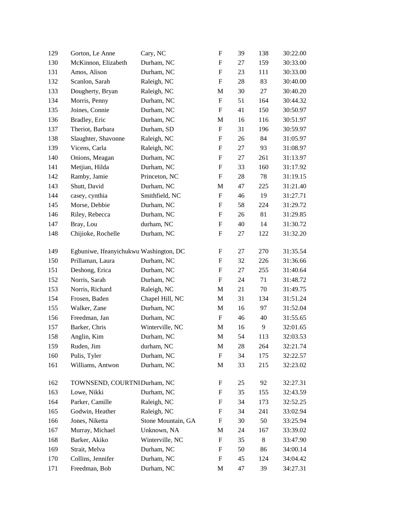| 129 | Gorton, Le Anne                        | Cary, NC           | $\boldsymbol{\mathrm{F}}$ | 39 | 138 | 30:22.00 |
|-----|----------------------------------------|--------------------|---------------------------|----|-----|----------|
| 130 | McKinnon, Elizabeth                    | Durham, NC         | F                         | 27 | 159 | 30:33.00 |
| 131 | Amos, Alison                           | Durham, NC         | ${\rm F}$                 | 23 | 111 | 30:33.00 |
| 132 | Scanlon, Sarah                         | Raleigh, NC        | $\boldsymbol{\mathrm{F}}$ | 28 | 83  | 30:40.00 |
| 133 | Dougherty, Bryan                       | Raleigh, NC        | M                         | 30 | 27  | 30:40.20 |
| 134 | Morris, Penny                          | Durham, NC         | $\boldsymbol{\mathrm{F}}$ | 51 | 164 | 30:44.32 |
| 135 | Joines, Connie                         | Durham, NC         | F                         | 41 | 150 | 30:50.97 |
| 136 | Bradley, Eric                          | Durham, NC         | M                         | 16 | 116 | 30:51.97 |
| 137 | Theriot, Barbara                       | Durham, SD         | ${\rm F}$                 | 31 | 196 | 30:59.97 |
| 138 | Slaughter, Shavonne                    | Raleigh, NC        | F                         | 26 | 84  | 31:05.97 |
| 139 | Vicens, Carla                          | Raleigh, NC        | $\boldsymbol{\mathrm{F}}$ | 27 | 93  | 31:08.97 |
| 140 | Onions, Meagan                         | Durham, NC         | F                         | 27 | 261 | 31:13.97 |
| 141 | Metjian, Hilda                         | Durham, NC         | F                         | 33 | 160 | 31:17.92 |
| 142 | Ramby, Jamie                           | Princeton, NC      | ${\rm F}$                 | 28 | 78  | 31:19.15 |
| 143 | Shutt, David                           | Durham, NC         | M                         | 47 | 225 | 31:21.40 |
| 144 | casey, cynthia                         | Smithfield, NC     | $\boldsymbol{\mathrm{F}}$ | 46 | 19  | 31:27.71 |
| 145 | Morse, Debbie                          | Durham, NC         | ${\rm F}$                 | 58 | 224 | 31:29.72 |
| 146 | Riley, Rebecca                         | Durham, NC         | F                         | 26 | 81  | 31:29.85 |
| 147 | Bray, Lou                              | durham, NC         | ${\rm F}$                 | 40 | 14  | 31:30.72 |
| 148 | Chijioke, Rochelle                     | Durham, NC         | F                         | 27 | 122 | 31:32.20 |
| 149 | Egbuniwe, Ifeanyichukwu Washington, DC |                    | F                         | 27 | 270 | 31:35.54 |
| 150 | Prillaman, Laura                       | Durham, NC         | F                         | 32 | 226 | 31:36.66 |
| 151 | Deshong, Erica                         | Durham, NC         | F                         | 27 | 255 | 31:40.64 |
| 152 | Norris, Sarah                          | Durham, NC         | F                         | 24 | 71  | 31:48.72 |
| 153 | Norris, Richard                        | Raleigh, NC        | M                         | 21 | 70  | 31:49.75 |
| 154 | Frosen, Baden                          | Chapel Hill, NC    | M                         | 31 | 134 | 31:51.24 |
| 155 | Walker, Zane                           | Durham, NC         | M                         | 16 | 97  | 31:52.04 |
| 156 | Freedman, Jan                          | Durham, NC         | F                         | 46 | 40  | 31:55.65 |
| 157 | Barker, Chris                          | Winterville, NC    | M                         | 16 | 9   | 32:01.65 |
| 158 | Anglin, Kim                            | Durham, NC         | $\mathbf M$               | 54 | 113 | 32:03.53 |
| 159 | Ruden, Jim                             | durham, NC         | $\mathbf M$               | 28 | 264 | 32:21.74 |
| 160 | Pulis, Tyler                           | Durham, NC         | F                         | 34 | 175 | 32:22.57 |
| 161 | Williams, Antwon                       | Durham, NC         | $\mathbf M$               | 33 | 215 | 32:23.02 |
| 162 | TOWNSEND, COURTNI Durham, NC           |                    | ${\rm F}$                 | 25 | 92  | 32:27.31 |
| 163 | Lowe, Nikki                            | Durham, NC         | F                         | 35 | 155 | 32:43.59 |
| 164 | Parker, Camille                        | Raleigh, NC        | F                         | 34 | 173 | 32:52.25 |
| 165 | Godwin, Heather                        | Raleigh, NC        | F                         | 34 | 241 | 33:02.94 |
| 166 | Jones, Niketta                         | Stone Mountain, GA | ${\rm F}$                 | 30 | 50  | 33:25.94 |
| 167 | Murray, Michael                        | Unknown, NA        | M                         | 24 | 167 | 33:39.02 |
| 168 | Barker, Akiko                          | Winterville, NC    | F                         | 35 | 8   | 33:47.90 |
| 169 | Strait, Melva                          | Durham, NC         | F                         | 50 | 86  | 34:00.14 |
| 170 | Collins, Jennifer                      | Durham, NC         | ${\rm F}$                 | 45 | 124 | 34:04.42 |
| 171 | Freedman, Bob                          | Durham, NC         | $\mathbf M$               | 47 | 39  | 34:27.31 |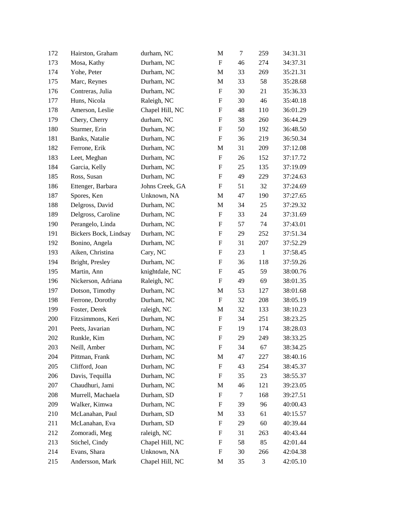| 172 | Hairston, Graham      | durham, NC      | M                         | $\tau$ | 259          | 34:31.31 |
|-----|-----------------------|-----------------|---------------------------|--------|--------------|----------|
| 173 | Mosa, Kathy           | Durham, NC      | $\boldsymbol{\mathrm{F}}$ | 46     | 274          | 34:37.31 |
| 174 | Yohe, Peter           | Durham, NC      | M                         | 33     | 269          | 35:21.31 |
| 175 | Marc, Reynes          | Durham, NC      | M                         | 33     | 58           | 35:28.68 |
| 176 | Contreras, Julia      | Durham, NC      | F                         | 30     | 21           | 35:36.33 |
| 177 | Huns, Nicola          | Raleigh, NC     | $\boldsymbol{\mathrm{F}}$ | 30     | 46           | 35:40.18 |
| 178 | Amerson, Leslie       | Chapel Hill, NC | F                         | 48     | 110          | 36:01.29 |
| 179 | Chery, Cherry         | durham, NC      | ${\rm F}$                 | 38     | 260          | 36:44.29 |
| 180 | Sturmer, Erin         | Durham, NC      | $\boldsymbol{\mathrm{F}}$ | 50     | 192          | 36:48.50 |
| 181 | Banks, Natalie        | Durham, NC      | ${\rm F}$                 | 36     | 219          | 36:50.34 |
| 182 | Ferrone, Erik         | Durham, NC      | $\mathbf M$               | 31     | 209          | 37:12.08 |
| 183 | Leet, Meghan          | Durham, NC      | F                         | 26     | 152          | 37:17.72 |
| 184 | Garcia, Kelly         | Durham, NC      | F                         | 25     | 135          | 37:19.09 |
| 185 | Ross, Susan           | Durham, NC      | ${\rm F}$                 | 49     | 229          | 37:24.63 |
| 186 | Ettenger, Barbara     | Johns Creek, GA | ${\rm F}$                 | 51     | 32           | 37:24.69 |
| 187 | Spores, Ken           | Unknown, NA     | $\mathbf M$               | 47     | 190          | 37:27.65 |
| 188 | Delgross, David       | Durham, NC      | M                         | 34     | 25           | 37:29.32 |
| 189 | Delgross, Caroline    | Durham, NC      | F                         | 33     | 24           | 37:31.69 |
| 190 | Perangelo, Linda      | Durham, NC      | ${\rm F}$                 | 57     | 74           | 37:43.01 |
| 191 | Bickers Bock, Lindsay | Durham, NC      | ${\rm F}$                 | 29     | 252          | 37:51.34 |
| 192 | Bonino, Angela        | Durham, NC      | ${\rm F}$                 | 31     | 207          | 37:52.29 |
| 193 | Aiken, Christina      | Cary, NC        | F                         | 23     | $\mathbf{1}$ | 37:58.45 |
| 194 | Bright, Presley       | Durham, NC      | ${\rm F}$                 | 36     | 118          | 37:59.26 |
| 195 | Martin, Ann           | knightdale, NC  | ${\rm F}$                 | 45     | 59           | 38:00.76 |
| 196 | Nickerson, Adriana    | Raleigh, NC     | $\boldsymbol{\mathrm{F}}$ | 49     | 69           | 38:01.35 |
| 197 | Dotson, Timothy       | Durham, NC      | M                         | 53     | 127          | 38:01.68 |
| 198 | Ferrone, Dorothy      | Durham, NC      | $\boldsymbol{\mathrm{F}}$ | 32     | 208          | 38:05.19 |
| 199 | Foster, Derek         | raleigh, NC     | M                         | 32     | 133          | 38:10.23 |
| 200 | Fitzsimmons, Keri     | Durham, NC      | ${\rm F}$                 | 34     | 251          | 38:23.25 |
| 201 | Peets, Javarian       | Durham, NC      | F                         | 19     | 174          | 38:28.03 |
| 202 | Runkle, Kim           | Durham, NC      | ${\rm F}$                 | 29     | 249          | 38:33.25 |
| 203 | Neill, Amber          | Durham, NC      | ${\rm F}$                 | 34     | 67           | 38:34.25 |
| 204 | Pittman, Frank        | Durham, NC      | M                         | 47     | 227          | 38:40.16 |
| 205 | Clifford, Joan        | Durham, NC      | ${\rm F}$                 | 43     | 254          | 38:45.37 |
| 206 | Davis, Tequilla       | Durham, NC      | F                         | 35     | 23           | 38:55.37 |
| 207 | Chaudhuri, Jami       | Durham, NC      | M                         | 46     | 121          | 39:23.05 |
| 208 | Murrell, Machaela     | Durham, SD      | ${\rm F}$                 | $\tau$ | 168          | 39:27.51 |
| 209 | Walker, Kimwa         | Durham, NC      | F                         | 39     | 96           | 40:00.43 |
| 210 | McLanahan, Paul       | Durham, SD      | M                         | 33     | 61           | 40:15.57 |
| 211 | McLanahan, Eva        | Durham, SD      | F                         | 29     | 60           | 40:39.44 |
| 212 | Zomoradi, Meg         | raleigh, NC     | ${\rm F}$                 | 31     | 263          | 40:43.44 |
| 213 | Stichel, Cindy        | Chapel Hill, NC | ${\rm F}$                 | 58     | 85           | 42:01.44 |
| 214 | Evans, Shara          | Unknown, NA     | F                         | 30     | 266          | 42:04.38 |
| 215 | Andersson, Mark       | Chapel Hill, NC | M                         | 35     | 3            | 42:05.10 |